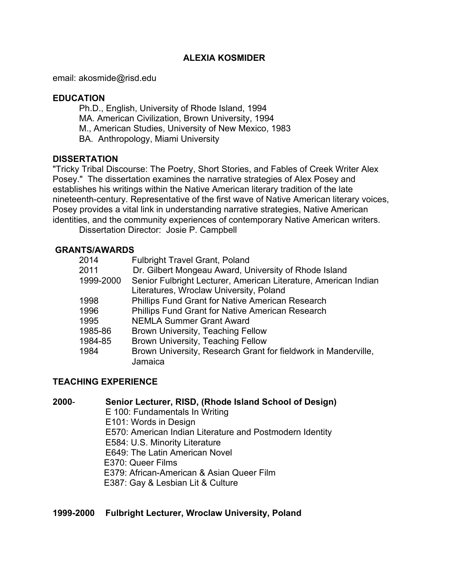## **ALEXIA KOSMIDER**

email: akosmide@risd.edu

# **EDUCATION**

Ph.D., English, University of Rhode Island, 1994 MA. American Civilization, Brown University, 1994 M., American Studies, University of New Mexico, 1983 BA. Anthropology, Miami University

## **DISSERTATION**

"Tricky Tribal Discourse: The Poetry, Short Stories, and Fables of Creek Writer Alex Posey." The dissertation examines the narrative strategies of Alex Posey and establishes his writings within the Native American literary tradition of the late nineteenth-century. Representative of the first wave of Native American literary voices, Posey provides a vital link in understanding narrative strategies, Native American identities, and the community experiences of contemporary Native American writers.

Dissertation Director: Josie P. Campbell

## **GRANTS/AWARDS**

| 2014      | <b>Fulbright Travel Grant, Poland</b>                           |
|-----------|-----------------------------------------------------------------|
| 2011      | Dr. Gilbert Mongeau Award, University of Rhode Island           |
| 1999-2000 | Senior Fulbright Lecturer, American Literature, American Indian |
|           | Literatures, Wroclaw University, Poland                         |
| 1998      | <b>Phillips Fund Grant for Native American Research</b>         |
| 1996      | <b>Phillips Fund Grant for Native American Research</b>         |
| 1995      | <b>NEMLA Summer Grant Award</b>                                 |
| 1985-86   | Brown University, Teaching Fellow                               |
| 1984-85   | Brown University, Teaching Fellow                               |
| 1984      | Brown University, Research Grant for fieldwork in Manderville,  |
|           | Jamaica                                                         |

## **TEACHING EXPERIENCE**

## **2000**- **Senior Lecturer, RISD, (Rhode Island School of Design)**

- E 100: Fundamentals In Writing
- E101: Words in Design
- E570: American Indian Literature and Postmodern Identity
- E584: U.S. Minority Literature
- E649: The Latin American Novel
- E370: Queer Films
- E379: African-American & Asian Queer Film
- E387: Gay & Lesbian Lit & Culture

## **1999-2000 Fulbright Lecturer, Wroclaw University, Poland**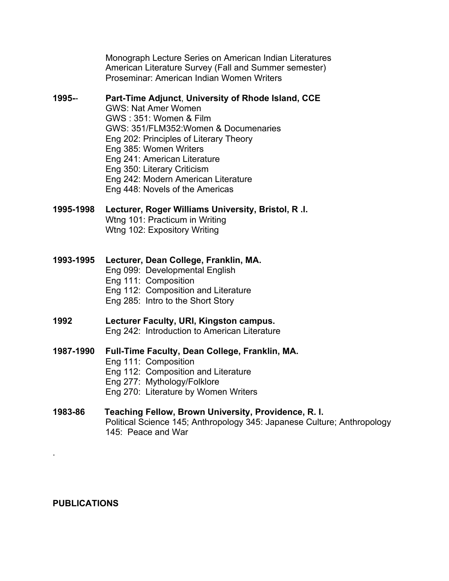Monograph Lecture Series on American Indian Literatures American Literature Survey (Fall and Summer semester) Proseminar: American Indian Women Writers

#### **1995-**- **Part-Time Adjunct**, **University of Rhode Island, CCE**

GWS: Nat Amer Women GWS : 351: Women & Film GWS: 351/FLM352:Women & Documenaries Eng 202: Principles of Literary Theory Eng 385: Women Writers Eng 241: American Literature Eng 350: Literary Criticism Eng 242: Modern American Literature Eng 448: Novels of the Americas

#### **1995-1998 Lecturer, Roger Williams University, Bristol, R .I.**

Wtng 101: Practicum in Writing Wtng 102: Expository Writing

#### **1993-1995 Lecturer, Dean College, Franklin, MA.**

- Eng 099: Developmental English
- Eng 111: Composition
- Eng 112: Composition and Literature
- Eng 285: Intro to the Short Story

# **1992 Lecturer Faculty, URI, Kingston campus.**

Eng 242: Introduction to American Literature

## **1987-1990 Full-Time Faculty, Dean College, Franklin, MA.**

- Eng 111: Composition
- Eng 112: Composition and Literature
- Eng 277: Mythology/Folklore

Eng 270: Literature by Women Writers

## **1983-86 Teaching Fellow, Brown University, Providence, R. I.**

Political Science 145; Anthropology 345: Japanese Culture; Anthropology 145: Peace and War

#### **PUBLICATIONS**

.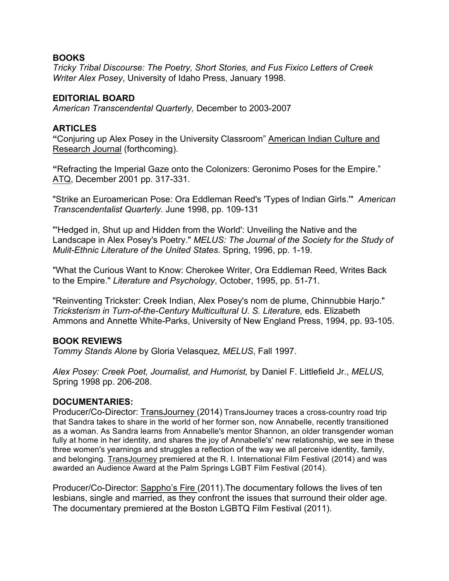## **BOOKS**

*Tricky Tribal Discourse: The Poetry, Short Stories, and Fus Fixico Letters of Creek Writer Alex Posey*, University of Idaho Press, January 1998.

## **EDITORIAL BOARD**

*American Transcendental Quarterly,* December to 2003-2007

## **ARTICLES**

**"**Conjuring up Alex Posey in the University Classroom" American Indian Culture and Research Journal (forthcoming).

**"**Refracting the Imperial Gaze onto the Colonizers: Geronimo Poses for the Empire." ATQ, December 2001 pp. 317-331.

"Strike an Euroamerican Pose: Ora Eddleman Reed's 'Types of Indian Girls.'" *American Transcendentalist Quarterly.* June 1998, pp. 109-131

"'Hedged in, Shut up and Hidden from the World': Unveiling the Native and the Landscape in Alex Posey's Poetry." *MELUS: The Journal of the Society for the Study of Mulit-Ethnic Literature of the United States*. Spring, 1996, pp. 1-19.

"What the Curious Want to Know: Cherokee Writer, Ora Eddleman Reed, Writes Back to the Empire." *Literature and Psychology*, October, 1995, pp. 51-71.

"Reinventing Trickster: Creek Indian, Alex Posey's nom de plume, Chinnubbie Harjo." *Tricksterism in Turn-of-the-Century Multicultural U. S. Literature,* eds. Elizabeth Ammons and Annette White-Parks, University of New England Press, 1994, pp. 93-105.

## **BOOK REVIEWS**

*Tommy Stands Alone* by Gloria Velasquez*, MELUS*, Fall 1997.

*Alex Posey: Creek Poet, Journalist, and Humorist,* by Daniel F. Littlefield Jr., *MELUS,*  Spring 1998 pp. 206-208.

## **DOCUMENTARIES:**

Producer/Co-Director: TransJourney (2014) TransJourney traces a cross-country road trip that Sandra takes to share in the world of her former son, now Annabelle, recently transitioned as a woman. As Sandra learns from Annabelle's mentor Shannon, an older transgender woman fully at home in her identity, and shares the joy of Annabelle's' new relationship, we see in these three women's yearnings and struggles a reflection of the way we all perceive identity, family, and belonging. TransJourney premiered at the R. I. International Film Festival (2014) and was awarded an Audience Award at the Palm Springs LGBT Film Festival (2014).

Producer/Co-Director: Sappho's Fire (2011).The documentary follows the lives of ten lesbians, single and married, as they confront the issues that surround their older age. The documentary premiered at the Boston LGBTQ Film Festival (2011).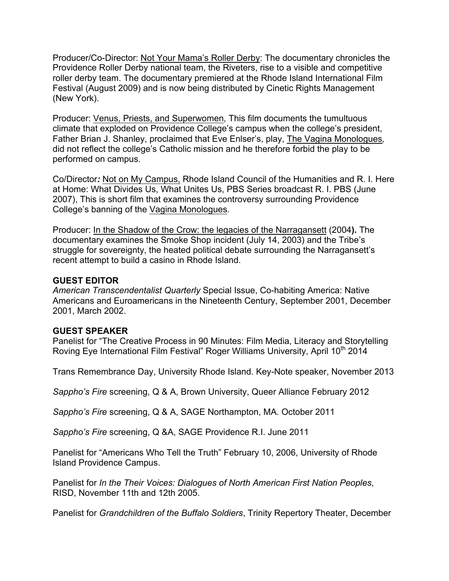Producer/Co-Director: Not Your Mama's Roller Derby: The documentary chronicles the Providence Roller Derby national team, the Riveters, rise to a visible and competitive roller derby team. The documentary premiered at the Rhode Island International Film Festival (August 2009) and is now being distributed by Cinetic Rights Management (New York).

Producer: Venus, Priests, and Superwomen*,* This film documents the tumultuous climate that exploded on Providence College's campus when the college's president, Father Brian J. Shanley, proclaimed that Eve Enlser's, play, The Vagina Monologues*,* did not reflect the college's Catholic mission and he therefore forbid the play to be performed on campus.

Co/Director*:* Not on My Campus, Rhode Island Council of the Humanities and R. I. Here at Home: What Divides Us, What Unites Us, PBS Series broadcast R. I. PBS (June 2007), This is short film that examines the controversy surrounding Providence College's banning of the Vagina Monologues*.*

Producer: In the Shadow of the Crow: the legacies of the Narragansett (2004**).** The documentary examines the Smoke Shop incident (July 14, 2003) and the Tribe's struggle for sovereignty, the heated political debate surrounding the Narragansett's recent attempt to build a casino in Rhode Island.

## **GUEST EDITOR**

*American Transcendentalist Quarterly* Special Issue, Co-habiting America: Native Americans and Euroamericans in the Nineteenth Century, September 2001, December 2001, March 2002.

# **GUEST SPEAKER**

Panelist for "The Creative Process in 90 Minutes: Film Media, Literacy and Storytelling Roving Eye International Film Festival" Roger Williams University, April 10<sup>th</sup> 2014

Trans Remembrance Day, University Rhode Island. Key-Note speaker, November 2013

*Sappho's Fire* screening, Q & A, Brown University, Queer Alliance February 2012

*Sappho's Fire* screening, Q & A, SAGE Northampton, MA. October 2011

*Sappho's Fire* screening, Q &A, SAGE Providence R.I. June 2011

Panelist for "Americans Who Tell the Truth" February 10, 2006, University of Rhode Island Providence Campus.

Panelist for *In the Their Voices: Dialogues of North American First Nation Peoples*, RISD, November 11th and 12th 2005.

Panelist for *Grandchildren of the Buffalo Soldiers*, Trinity Repertory Theater, December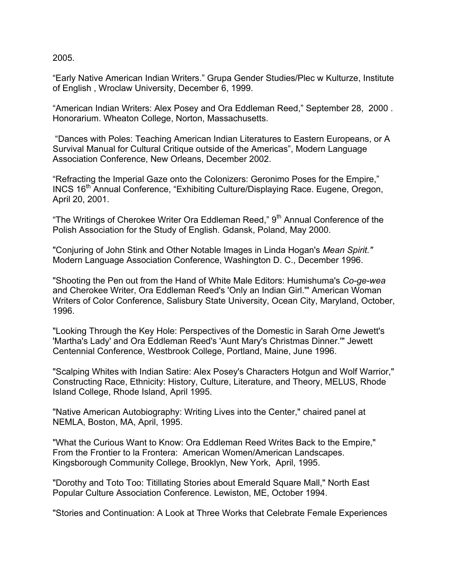2005.

"Early Native American Indian Writers." Grupa Gender Studies/Plec w Kulturze, Institute of English , Wroclaw University, December 6, 1999.

"American Indian Writers: Alex Posey and Ora Eddleman Reed," September 28, 2000 . Honorarium. Wheaton College, Norton, Massachusetts.

"Dances with Poles: Teaching American Indian Literatures to Eastern Europeans, or A Survival Manual for Cultural Critique outside of the Americas", Modern Language Association Conference, New Orleans, December 2002.

"Refracting the Imperial Gaze onto the Colonizers: Geronimo Poses for the Empire," INCS 16th Annual Conference, "Exhibiting Culture/Displaying Race. Eugene, Oregon, April 20, 2001.

"The Writings of Cherokee Writer Ora Eddleman Reed,"  $9<sup>th</sup>$  Annual Conference of the Polish Association for the Study of English. Gdansk, Poland, May 2000.

"Conjuring of John Stink and Other Notable Images in Linda Hogan's *Mean Spirit."* Modern Language Association Conference, Washington D. C., December 1996.

"Shooting the Pen out from the Hand of White Male Editors: Humishuma's *Co-ge-wea* and Cherokee Writer, Ora Eddleman Reed's 'Only an Indian Girl.'" American Woman Writers of Color Conference, Salisbury State University, Ocean City, Maryland, October, 1996.

"Looking Through the Key Hole: Perspectives of the Domestic in Sarah Orne Jewett's 'Martha's Lady' and Ora Eddleman Reed's 'Aunt Mary's Christmas Dinner.'" Jewett Centennial Conference, Westbrook College, Portland, Maine, June 1996.

"Scalping Whites with Indian Satire: Alex Posey's Characters Hotgun and Wolf Warrior," Constructing Race, Ethnicity: History, Culture, Literature, and Theory, MELUS, Rhode Island College, Rhode Island, April 1995.

"Native American Autobiography: Writing Lives into the Center," chaired panel at NEMLA, Boston, MA, April, 1995.

"What the Curious Want to Know: Ora Eddleman Reed Writes Back to the Empire," From the Frontier to la Frontera: American Women/American Landscapes. Kingsborough Community College, Brooklyn, New York, April, 1995.

"Dorothy and Toto Too: Titillating Stories about Emerald Square Mall," North East Popular Culture Association Conference. Lewiston, ME, October 1994.

"Stories and Continuation: A Look at Three Works that Celebrate Female Experiences